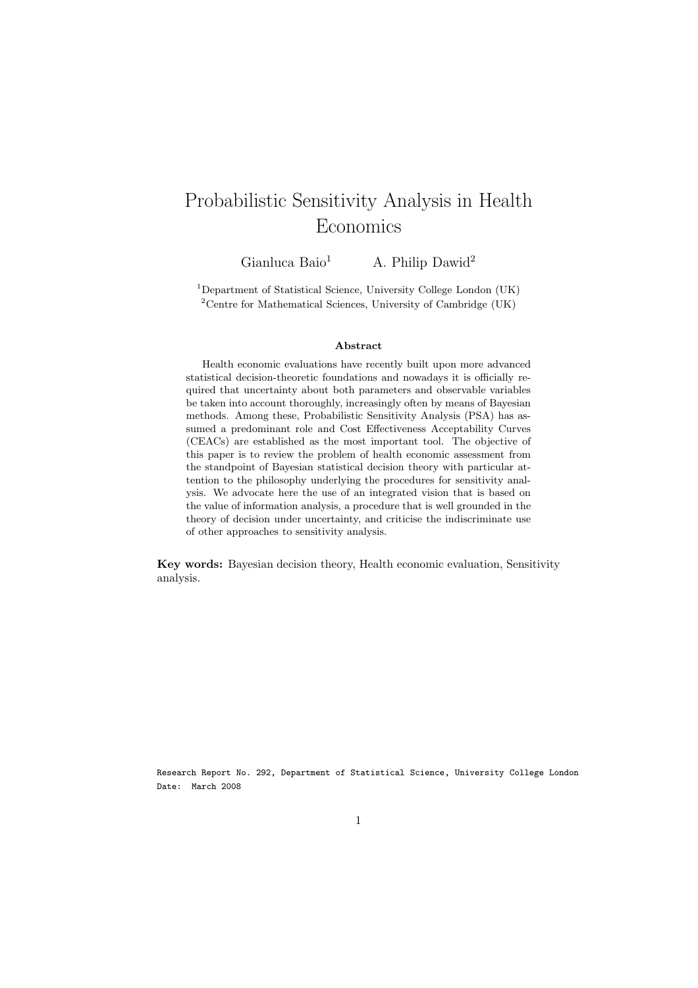# Probabilistic Sensitivity Analysis in Health Economics

Gianluca Baio<sup>1</sup> A. Philip Dawid<sup>2</sup>

<sup>1</sup>Department of Statistical Science, University College London (UK) <sup>2</sup>Centre for Mathematical Sciences, University of Cambridge (UK)

#### Abstract

Health economic evaluations have recently built upon more advanced statistical decision-theoretic foundations and nowadays it is officially required that uncertainty about both parameters and observable variables be taken into account thoroughly, increasingly often by means of Bayesian methods. Among these, Probabilistic Sensitivity Analysis (PSA) has assumed a predominant role and Cost Effectiveness Acceptability Curves (CEACs) are established as the most important tool. The objective of this paper is to review the problem of health economic assessment from the standpoint of Bayesian statistical decision theory with particular attention to the philosophy underlying the procedures for sensitivity analysis. We advocate here the use of an integrated vision that is based on the value of information analysis, a procedure that is well grounded in the theory of decision under uncertainty, and criticise the indiscriminate use of other approaches to sensitivity analysis.

Key words: Bayesian decision theory, Health economic evaluation, Sensitivity analysis.

Research Report No. 292, Department of Statistical Science, University College London Date: March 2008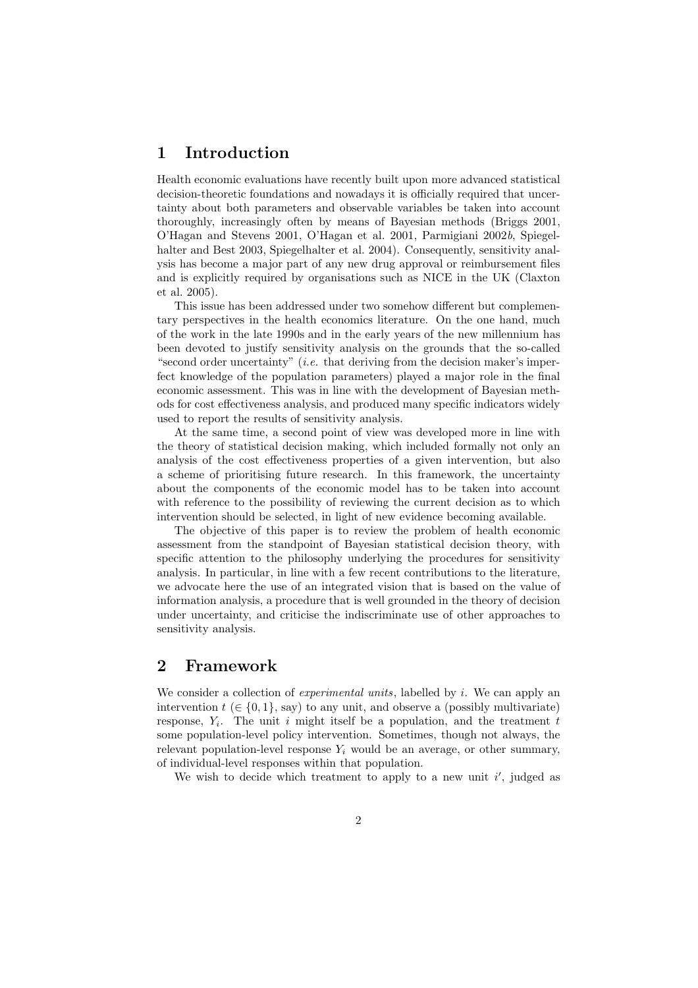# 1 Introduction

Health economic evaluations have recently built upon more advanced statistical decision-theoretic foundations and nowadays it is officially required that uncertainty about both parameters and observable variables be taken into account thoroughly, increasingly often by means of Bayesian methods (Briggs 2001, O'Hagan and Stevens 2001, O'Hagan et al. 2001, Parmigiani 2002b, Spiegelhalter and Best 2003, Spiegelhalter et al. 2004). Consequently, sensitivity analysis has become a major part of any new drug approval or reimbursement files and is explicitly required by organisations such as NICE in the UK (Claxton et al. 2005).

This issue has been addressed under two somehow different but complementary perspectives in the health economics literature. On the one hand, much of the work in the late 1990s and in the early years of the new millennium has been devoted to justify sensitivity analysis on the grounds that the so-called "second order uncertainty" (*i.e.* that deriving from the decision maker's imperfect knowledge of the population parameters) played a major role in the final economic assessment. This was in line with the development of Bayesian methods for cost effectiveness analysis, and produced many specific indicators widely used to report the results of sensitivity analysis.

At the same time, a second point of view was developed more in line with the theory of statistical decision making, which included formally not only an analysis of the cost effectiveness properties of a given intervention, but also a scheme of prioritising future research. In this framework, the uncertainty about the components of the economic model has to be taken into account with reference to the possibility of reviewing the current decision as to which intervention should be selected, in light of new evidence becoming available.

The objective of this paper is to review the problem of health economic assessment from the standpoint of Bayesian statistical decision theory, with specific attention to the philosophy underlying the procedures for sensitivity analysis. In particular, in line with a few recent contributions to the literature, we advocate here the use of an integrated vision that is based on the value of information analysis, a procedure that is well grounded in the theory of decision under uncertainty, and criticise the indiscriminate use of other approaches to sensitivity analysis.

## 2 Framework

We consider a collection of *experimental units*, labelled by i. We can apply an intervention  $t \in \{0, 1\}$ , say) to any unit, and observe a (possibly multivariate) response,  $Y_i$ . The unit i might itself be a population, and the treatment t some population-level policy intervention. Sometimes, though not always, the relevant population-level response  $Y_i$  would be an average, or other summary, of individual-level responses within that population.

We wish to decide which treatment to apply to a new unit  $i'$ , judged as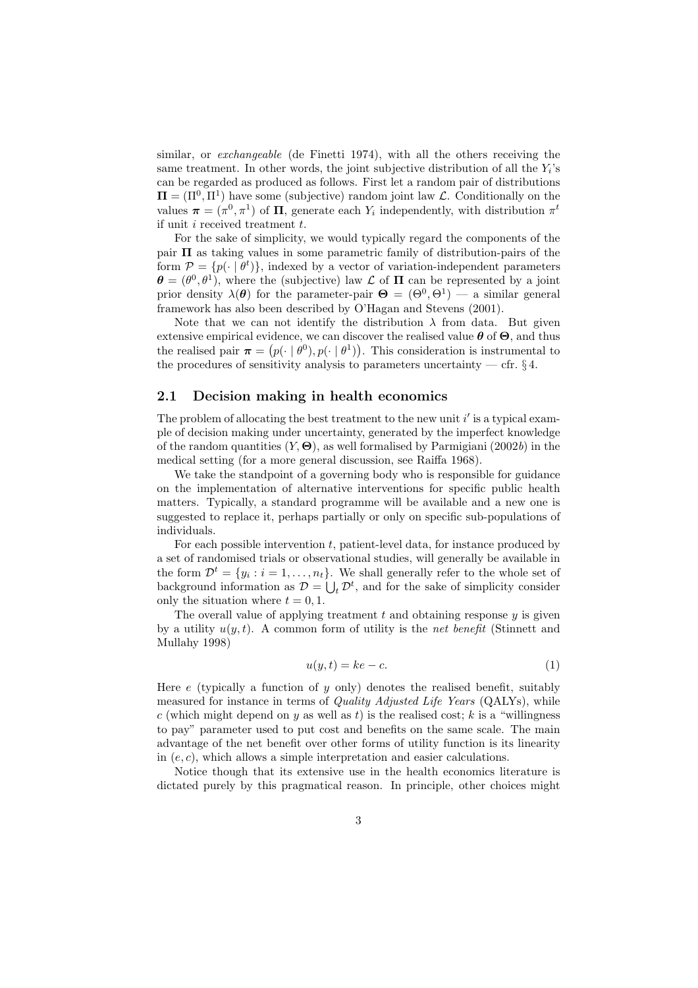similar, or exchangeable (de Finetti 1974), with all the others receiving the same treatment. In other words, the joint subjective distribution of all the  $Y_i$ 's can be regarded as produced as follows. First let a random pair of distributions  $\Pi = (\Pi^0, \Pi^1)$  have some (subjective) random joint law  $\mathcal{L}$ . Conditionally on the values  $\boldsymbol{\pi} = (\pi^0, \pi^1)$  of  $\Pi$ , generate each  $Y_i$  independently, with distribution  $\pi^t$ if unit  $i$  received treatment  $t$ .

For the sake of simplicity, we would typically regard the components of the pair  $\Pi$  as taking values in some parametric family of distribution-pairs of the form  $\mathcal{P} = \{p(\cdot | \theta^t)\}\$ , indexed by a vector of variation-independent parameters  $\boldsymbol{\theta} = (\theta^0, \theta^1)$ , where the (subjective) law  $\mathcal L$  of  $\Pi$  can be represented by a joint prior density  $\lambda(\theta)$  for the parameter-pair  $\Theta = (\Theta^0, \Theta^1)$  — a similar general framework has also been described by O'Hagan and Stevens (2001).

Note that we can not identify the distribution  $\lambda$  from data. But given extensive empirical evidence, we can discover the realised value  $\theta$  of  $\Theta$ , and thus the realised pair  $\boldsymbol{\pi} = (p(\cdot | \theta^0), p(\cdot | \theta^1))$ . This consideration is instrumental to the procedures of sensitivity analysis to parameters uncertainty — cfr.  $\S 4$ .

### 2.1 Decision making in health economics

The problem of allocating the best treatment to the new unit  $i'$  is a typical example of decision making under uncertainty, generated by the imperfect knowledge of the random quantities  $(Y, \Theta)$ , as well formalised by Parmigiani (2002b) in the medical setting (for a more general discussion, see Raiffa 1968).

We take the standpoint of a governing body who is responsible for guidance on the implementation of alternative interventions for specific public health matters. Typically, a standard programme will be available and a new one is suggested to replace it, perhaps partially or only on specific sub-populations of individuals.

For each possible intervention  $t$ , patient-level data, for instance produced by a set of randomised trials or observational studies, will generally be available in the form  $\mathcal{D}^t = \{y_i : i = 1, \ldots, n_t\}$ . We shall generally refer to the whole set of background information as  $\mathcal{D} = \bigcup_t \mathcal{D}^t$ , and for the sake of simplicity consider only the situation where  $t = 0, 1$ .

The overall value of applying treatment t and obtaining response  $y$  is given by a utility  $u(y, t)$ . A common form of utility is the *net benefit* (Stinnett and Mullahy 1998)

$$
u(y,t) = ke - c.\t\t(1)
$$

Here e (typically a function of y only) denotes the realised benefit, suitably measured for instance in terms of Quality Adjusted Life Years (QALYs), while c (which might depend on y as well as t) is the realised cost; k is a "willingness" to pay" parameter used to put cost and benefits on the same scale. The main advantage of the net benefit over other forms of utility function is its linearity in  $(e, c)$ , which allows a simple interpretation and easier calculations.

Notice though that its extensive use in the health economics literature is dictated purely by this pragmatical reason. In principle, other choices might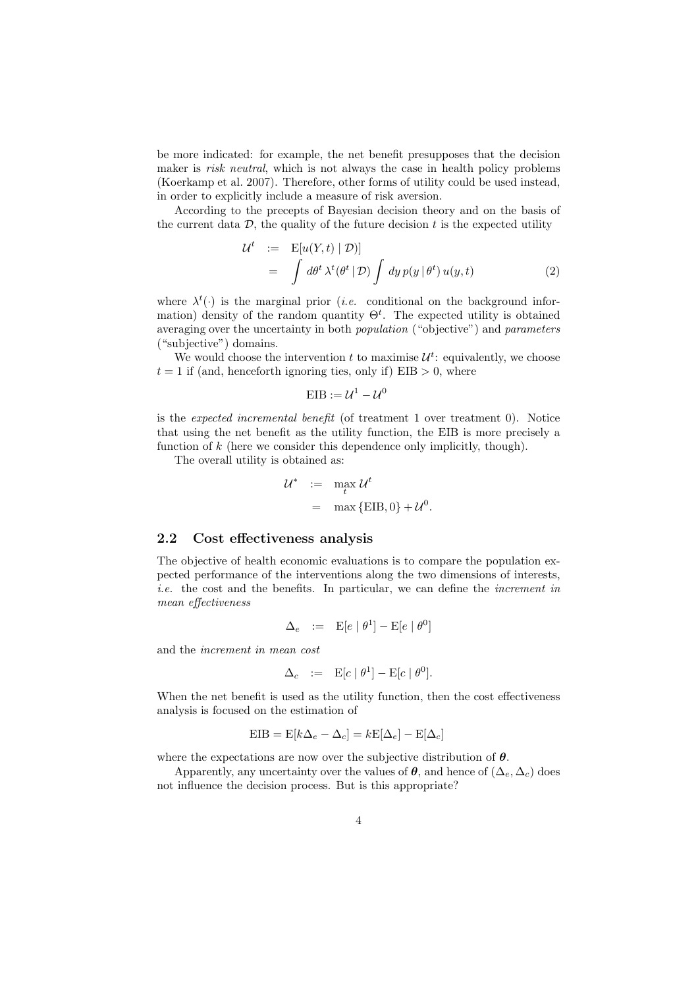be more indicated: for example, the net benefit presupposes that the decision maker is *risk neutral*, which is not always the case in health policy problems (Koerkamp et al. 2007). Therefore, other forms of utility could be used instead, in order to explicitly include a measure of risk aversion.

According to the precepts of Bayesian decision theory and on the basis of the current data  $\mathcal{D}$ , the quality of the future decision  $t$  is the expected utility

$$
\mathcal{U}^{t} := \mathbb{E}[u(Y, t) | \mathcal{D}]]
$$
  
=  $\int d\theta^{t} \lambda^{t} (\theta^{t} | \mathcal{D}) \int dy p(y | \theta^{t}) u(y, t)$  (2)

0 .

where  $\lambda^t(\cdot)$  is the marginal prior (*i.e.* conditional on the background information) density of the random quantity  $\Theta^t$ . The expected utility is obtained averaging over the uncertainty in both population ("objective") and parameters ("subjective") domains.

We would choose the intervention  $t$  to maximise  $\mathcal{U}^t$ : equivalently, we choose  $t = 1$  if (and, henceforth ignoring ties, only if) EIB  $> 0$ , where

$$
EIB := \mathcal{U}^1 - \mathcal{U}^0
$$

is the expected incremental benefit (of treatment 1 over treatment 0). Notice that using the net benefit as the utility function, the EIB is more precisely a function of k (here we consider this dependence only implicitly, though).

The overall utility is obtained as:

$$
\mathcal{U}^* := \max_t \mathcal{U}^t
$$
  
= max {EIB, 0} +  $\mathcal{U}$ 

### 2.2 Cost effectiveness analysis

The objective of health economic evaluations is to compare the population expected performance of the interventions along the two dimensions of interests, i.e. the cost and the benefits. In particular, we can define the increment in mean effectiveness

$$
\Delta_e \quad := \quad \mathrm{E}[e \mid \theta^1] - \mathrm{E}[e \mid \theta^0]
$$

and the increment in mean cost

$$
\Delta_c := \mathbf{E}[c \mid \theta^1] - \mathbf{E}[c \mid \theta^0].
$$

When the net benefit is used as the utility function, then the cost effectiveness analysis is focused on the estimation of

$$
EIB = E[k\Delta_e - \Delta_c] = kE[\Delta_e] - E[\Delta_c]
$$

where the expectations are now over the subjective distribution of  $\theta$ .

Apparently, any uncertainty over the values of  $\theta$ , and hence of  $(\Delta_e, \Delta_c)$  does not influence the decision process. But is this appropriate?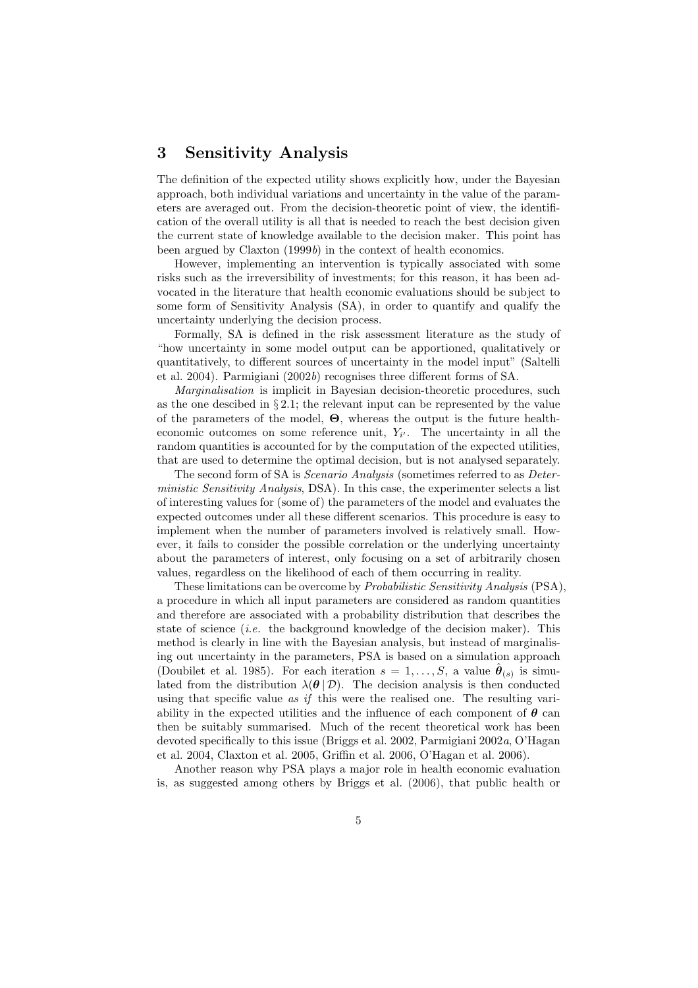# 3 Sensitivity Analysis

The definition of the expected utility shows explicitly how, under the Bayesian approach, both individual variations and uncertainty in the value of the parameters are averaged out. From the decision-theoretic point of view, the identification of the overall utility is all that is needed to reach the best decision given the current state of knowledge available to the decision maker. This point has been argued by Claxton (1999b) in the context of health economics.

However, implementing an intervention is typically associated with some risks such as the irreversibility of investments; for this reason, it has been advocated in the literature that health economic evaluations should be subject to some form of Sensitivity Analysis (SA), in order to quantify and qualify the uncertainty underlying the decision process.

Formally, SA is defined in the risk assessment literature as the study of "how uncertainty in some model output can be apportioned, qualitatively or quantitatively, to different sources of uncertainty in the model input" (Saltelli et al. 2004). Parmigiani (2002b) recognises three different forms of SA.

Marginalisation is implicit in Bayesian decision-theoretic procedures, such as the one descibed in  $\S 2.1$ ; the relevant input can be represented by the value of the parameters of the model, Θ, whereas the output is the future healtheconomic outcomes on some reference unit,  $Y_{i'}$ . The uncertainty in all the random quantities is accounted for by the computation of the expected utilities, that are used to determine the optimal decision, but is not analysed separately.

The second form of SA is *Scenario Analysis* (sometimes referred to as *Deter*ministic Sensitivity Analysis, DSA). In this case, the experimenter selects a list of interesting values for (some of) the parameters of the model and evaluates the expected outcomes under all these different scenarios. This procedure is easy to implement when the number of parameters involved is relatively small. However, it fails to consider the possible correlation or the underlying uncertainty about the parameters of interest, only focusing on a set of arbitrarily chosen values, regardless on the likelihood of each of them occurring in reality.

These limitations can be overcome by Probabilistic Sensitivity Analysis (PSA), a procedure in which all input parameters are considered as random quantities and therefore are associated with a probability distribution that describes the state of science *(i.e.* the background knowledge of the decision maker). This method is clearly in line with the Bayesian analysis, but instead of marginalising out uncertainty in the parameters, PSA is based on a simulation approach (Doubilet et al. 1985). For each iteration  $s = 1, \ldots, S$ , a value  $\hat{\boldsymbol{\theta}}_{(s)}$  is simulated from the distribution  $\lambda(\theta | \mathcal{D})$ . The decision analysis is then conducted using that specific value  $as \text{ if this were the realised one.}$  The resulting variability in the expected utilities and the influence of each component of  $\theta$  can then be suitably summarised. Much of the recent theoretical work has been devoted specifically to this issue (Briggs et al. 2002, Parmigiani 2002a, O'Hagan et al. 2004, Claxton et al. 2005, Griffin et al. 2006, O'Hagan et al. 2006).

Another reason why PSA plays a major role in health economic evaluation is, as suggested among others by Briggs et al. (2006), that public health or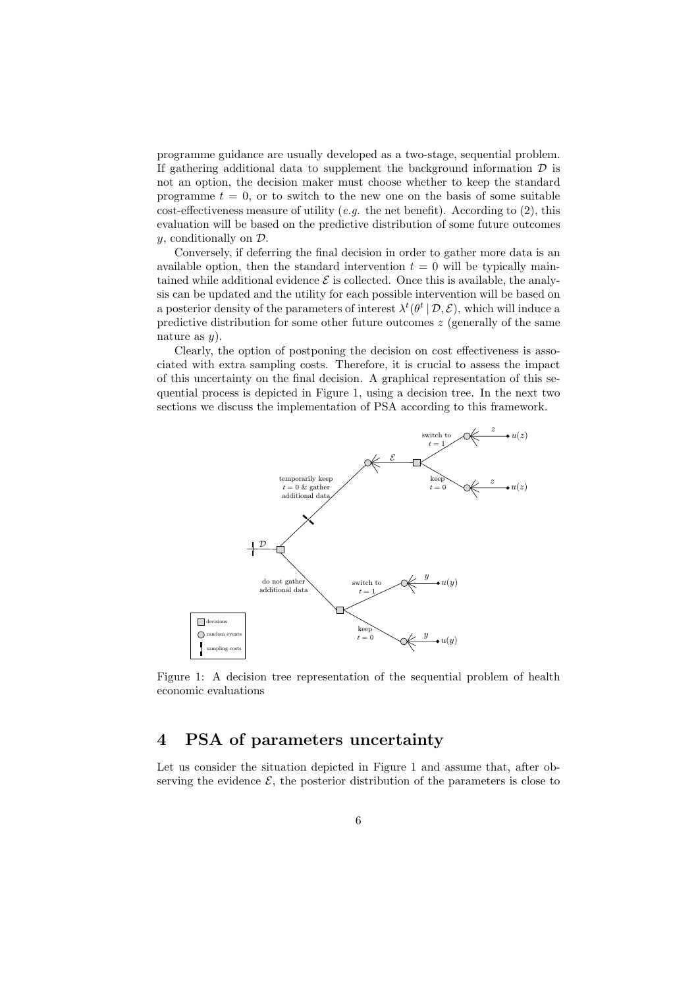programme guidance are usually developed as a two-stage, sequential problem. If gathering additional data to supplement the background information  $D$  is not an option, the decision maker must choose whether to keep the standard programme  $t = 0$ , or to switch to the new one on the basis of some suitable cost-effectiveness measure of utility (e.g. the net benefit). According to  $(2)$ , this evaluation will be based on the predictive distribution of some future outcomes y, conditionally on D.

Conversely, if deferring the final decision in order to gather more data is an available option, then the standard intervention  $t = 0$  will be typically maintained while additional evidence  $\mathcal E$  is collected. Once this is available, the analysis can be updated and the utility for each possible intervention will be based on a posterior density of the parameters of interest  $\lambda^t(\theta^t | \mathcal{D}, \mathcal{E})$ , which will induce a predictive distribution for some other future outcomes  $z$  (generally of the same nature as  $y$ ).

Clearly, the option of postponing the decision on cost effectiveness is associated with extra sampling costs. Therefore, it is crucial to assess the impact of this uncertainty on the final decision. A graphical representation of this sequential process is depicted in Figure 1, using a decision tree. In the next two sections we discuss the implementation of PSA according to this framework.



Figure 1: A decision tree representation of the sequential problem of health economic evaluations

## 4 PSA of parameters uncertainty

Let us consider the situation depicted in Figure 1 and assume that, after observing the evidence  $\mathcal{E}$ , the posterior distribution of the parameters is close to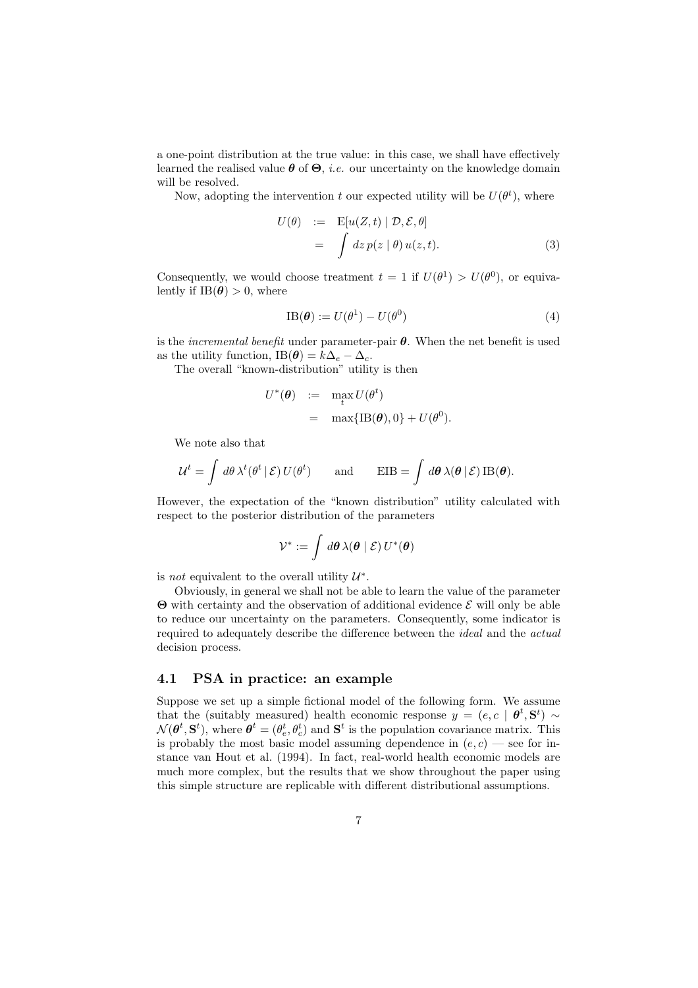a one-point distribution at the true value: in this case, we shall have effectively learned the realised value  $\theta$  of  $\Theta$ , *i.e.* our uncertainty on the knowledge domain will be resolved.

Now, adopting the intervention t our expected utility will be  $U(\theta^t)$ , where

$$
U(\theta) := \mathbf{E}[u(Z, t) | \mathcal{D}, \mathcal{E}, \theta]
$$
  
= 
$$
\int dz \, p(z | \theta) \, u(z, t).
$$
 (3)

Consequently, we would choose treatment  $t = 1$  if  $U(\theta^1) > U(\theta^0)$ , or equivalently if  $IB(\theta) > 0$ , where

$$
IB(\boldsymbol{\theta}) := U(\theta^1) - U(\theta^0)
$$
\n<sup>(4)</sup>

is the *incremental benefit* under parameter-pair  $\theta$ . When the net benefit is used as the utility function, IB( $\theta$ ) =  $k\Delta_e - \Delta_c$ .

The overall "known-distribution" utility is then

$$
U^*(\boldsymbol{\theta}) := \max_t U(\theta^t)
$$
  
= 
$$
\max\{\text{IB}(\boldsymbol{\theta}), 0\} + U(\theta^0).
$$

We note also that

$$
\mathcal{U}^t = \int d\theta \,\lambda^t(\theta^t \,|\, \mathcal{E}) \, U(\theta^t) \qquad \text{and} \qquad \text{EIB} = \int d\theta \,\lambda(\theta \,|\, \mathcal{E}) \,\text{IB}(\theta).
$$

However, the expectation of the "known distribution" utility calculated with respect to the posterior distribution of the parameters

$$
\mathcal{V}^* := \int d\boldsymbol{\theta} \,\lambda(\boldsymbol{\theta} \mid \mathcal{E}) \, U^*(\boldsymbol{\theta})
$$

is *not* equivalent to the overall utility  $\mathcal{U}^*$ .

Obviously, in general we shall not be able to learn the value of the parameter  $\Theta$  with certainty and the observation of additional evidence  $\mathcal E$  will only be able to reduce our uncertainty on the parameters. Consequently, some indicator is required to adequately describe the difference between the ideal and the actual decision process.

### 4.1 PSA in practice: an example

Suppose we set up a simple fictional model of the following form. We assume that the (suitably measured) health economic response  $y = (e, c \mid \boldsymbol{\theta}^t, \mathbf{S}^t) \sim$  $\mathcal{N}(\boldsymbol{\theta}^t, \mathbf{S}^t)$ , where  $\boldsymbol{\theta}^t = (\theta_e^t, \theta_c^t)$  and  $\mathbf{S}^t$  is the population covariance matrix. This is probably the most basic model assuming dependence in  $(e, c)$  — see for instance van Hout et al. (1994). In fact, real-world health economic models are much more complex, but the results that we show throughout the paper using this simple structure are replicable with different distributional assumptions.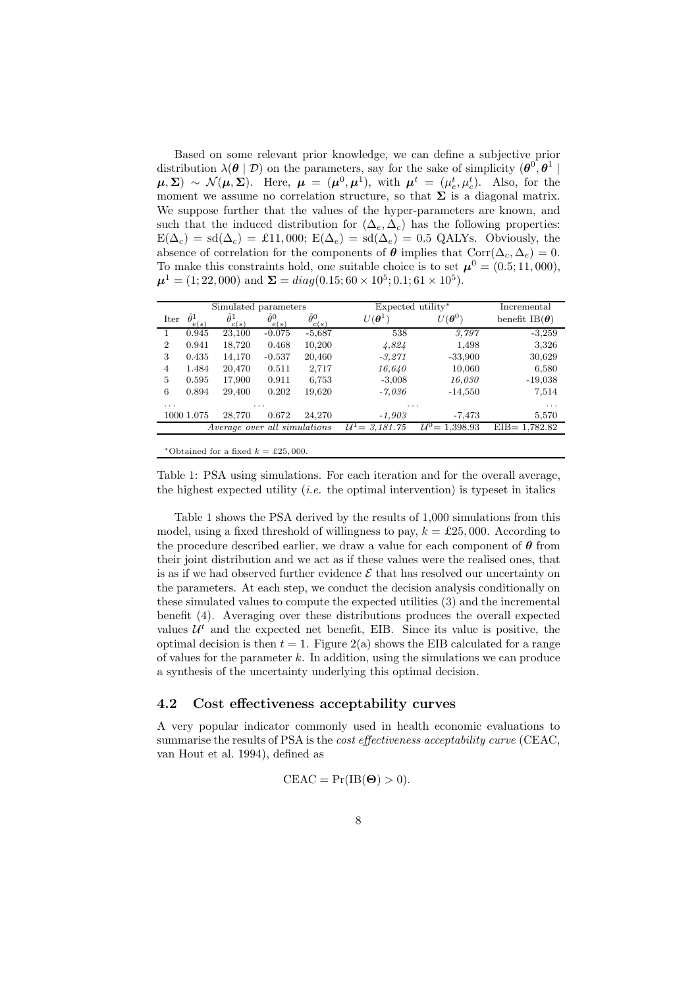Based on some relevant prior knowledge, we can define a subjective prior distribution  $\lambda(\theta | \mathcal{D})$  on the parameters, say for the sake of simplicity  $(\theta^0, \theta^1 | \mathcal{D})$  $(\boldsymbol{\mu}, \boldsymbol{\Sigma}) \sim \mathcal{N}(\boldsymbol{\mu}, \boldsymbol{\Sigma}).$  Here,  $\boldsymbol{\mu} = (\boldsymbol{\mu}^0, \boldsymbol{\mu}^1)$ , with  $\boldsymbol{\mu}^t = (\mu_e^t, \mu_c^t)$ . Also, for the moment we assume no correlation structure, so that  $\Sigma$  is a diagonal matrix. We suppose further that the values of the hyper-parameters are known, and such that the induced distribution for  $(\Delta_e, \Delta_c)$  has the following properties:  $E(\Delta_c) = sd(\Delta_c) = £11,000$ ;  $E(\Delta_e) = sd(\Delta_e) = 0.5$  QALYs. Obviously, the absence of correlation for the components of  $\theta$  implies that Corr( $\Delta_c, \Delta_e$ ) = 0. To make this constraints hold, one suitable choice is to set  $\mu^0 = (0.5; 11,000)$ ,  $\mu^1 = (1; 22,000)$  and  $\Sigma = diag(0.15; 60 \times 10^5; 0.1; 61 \times 10^5)$ .

| Simulated parameters                |                          |                          |                          |                          | Expected utility*          |                             | Incremental           |
|-------------------------------------|--------------------------|--------------------------|--------------------------|--------------------------|----------------------------|-----------------------------|-----------------------|
| Iter                                | $\hat{\theta}^1$<br>e(s) | $\hat{\theta}^1$<br>c(s) | $\hat{\theta}^0$<br>e(s) | $\hat{\theta}^0$<br>c(s) | $U(\boldsymbol{\theta}^1)$ | $^r(\boldsymbol{\theta}^0)$ | benefit IB $(\theta)$ |
|                                     | 0.945                    | 23,100                   | $-0.075$                 | $-5,687$                 | 538                        | 3.797                       | $-3,259$              |
| $\overline{2}$                      | 0.941                    | 18,720                   | 0.468                    | 10,200                   | 4,824                      | 1,498                       | 3,326                 |
| 3                                   | 0.435                    | 14,170                   | $-0.537$                 | 20,460                   | $-3,271$                   | $-33,900$                   | 30,629                |
| $\overline{4}$                      | 1.484                    | 20,470                   | 0.511                    | 2,717                    | 16,640                     | 10,060                      | 6,580                 |
| 5                                   | 0.595                    | 17,900                   | 0.911                    | 6,753                    | $-3,008$                   | 16,030                      | $-19,038$             |
| 6                                   | 0.894                    | 29,400                   | 0.202                    | 19,620                   | -7.036                     | $-14,550$                   | 7,514                 |
| .                                   |                          |                          | .                        |                          | .                          |                             | .                     |
|                                     | 1000 1.075               | 28,770                   | 0.672                    | 24.270                   | $-1,903$                   | -7,473                      | 5,570                 |
| <i>Average over all simulations</i> |                          |                          |                          |                          | $U^1 = 3.181.75$           | $U^0 = 1,398.93$            | $EIB = 1,782.82$      |
|                                     |                          |                          |                          |                          |                            |                             |                       |

\*Obtained for a fixed  $k = \pounds 25,000$ .

Table 1: PSA using simulations. For each iteration and for the overall average, the highest expected utility *(i.e.* the optimal intervention) is typeset in italics

Table 1 shows the PSA derived by the results of 1,000 simulations from this model, using a fixed threshold of willingness to pay,  $k = \pounds 25,000$ . According to the procedure described earlier, we draw a value for each component of  $\theta$  from their joint distribution and we act as if these values were the realised ones, that is as if we had observed further evidence  $\mathcal E$  that has resolved our uncertainty on the parameters. At each step, we conduct the decision analysis conditionally on these simulated values to compute the expected utilities (3) and the incremental benefit (4). Averaging over these distributions produces the overall expected values  $U^t$  and the expected net benefit, EIB. Since its value is positive, the optimal decision is then  $t = 1$ . Figure 2(a) shows the EIB calculated for a range of values for the parameter  $k$ . In addition, using the simulations we can produce a synthesis of the uncertainty underlying this optimal decision.

### 4.2 Cost effectiveness acceptability curves

A very popular indicator commonly used in health economic evaluations to summarise the results of PSA is the cost effectiveness acceptability curve (CEAC, van Hout et al. 1994), defined as

$$
CEAC = Pr(IB(\Theta) > 0).
$$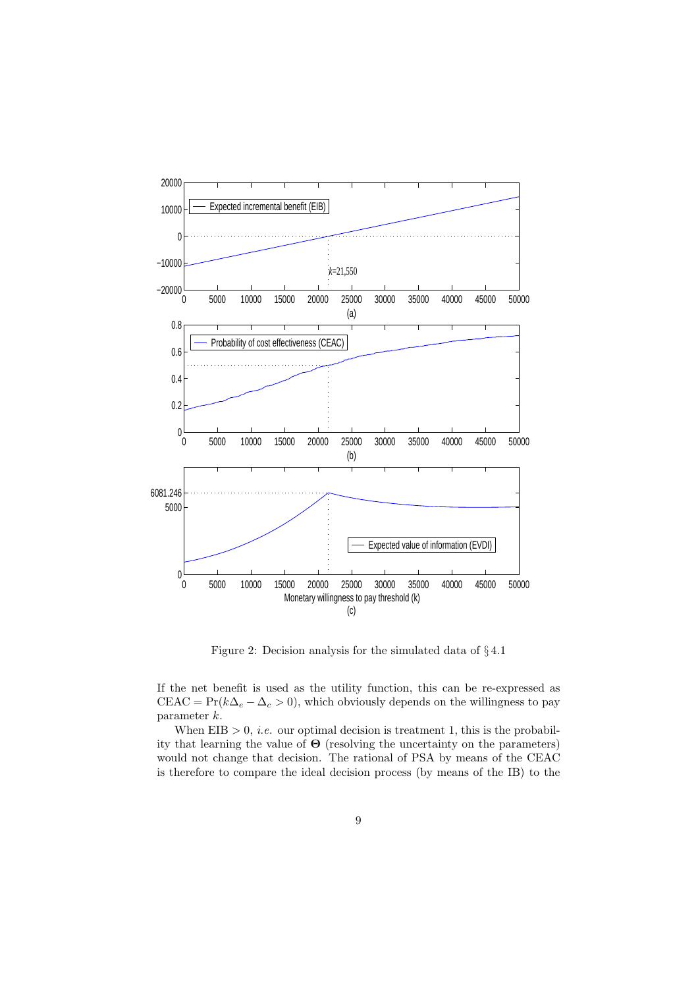

Figure 2: Decision analysis for the simulated data of § 4.1

If the net benefit is used as the utility function, this can be re-expressed as CEAC =  $Pr(k\Delta_e - \Delta_c > 0)$ , which obviously depends on the willingness to pay parameter k.

When  $EIB > 0$ , *i.e.* our optimal decision is treatment 1, this is the probability that learning the value of  $\Theta$  (resolving the uncertainty on the parameters) would not change that decision. The rational of PSA by means of the CEAC is therefore to compare the ideal decision process (by means of the IB) to the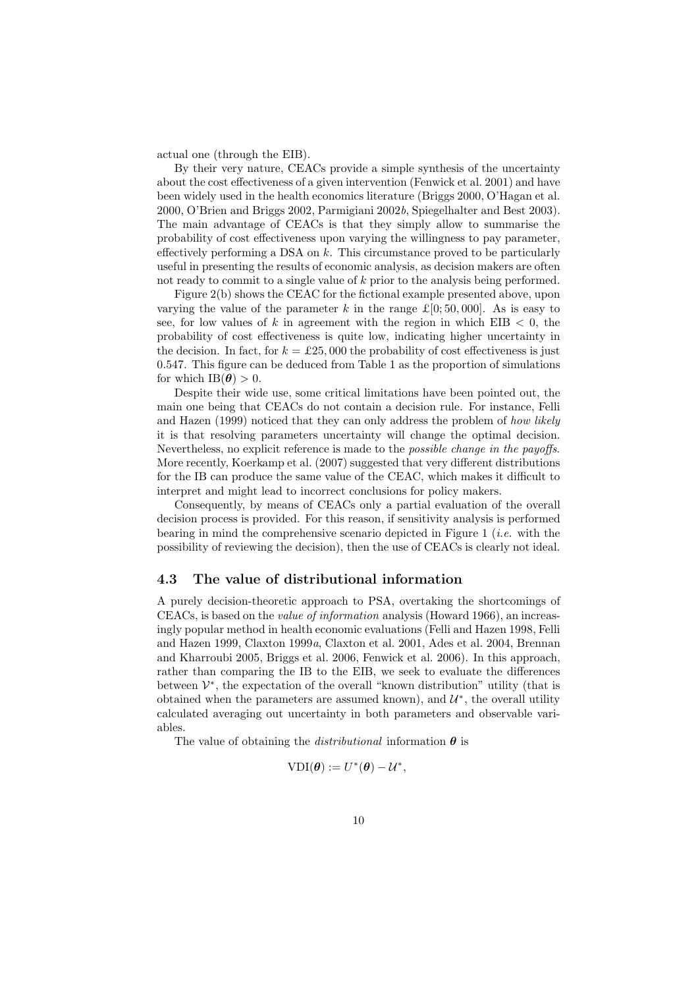actual one (through the EIB).

By their very nature, CEACs provide a simple synthesis of the uncertainty about the cost effectiveness of a given intervention (Fenwick et al. 2001) and have been widely used in the health economics literature (Briggs 2000, O'Hagan et al. 2000, O'Brien and Briggs 2002, Parmigiani 2002b, Spiegelhalter and Best 2003). The main advantage of CEACs is that they simply allow to summarise the probability of cost effectiveness upon varying the willingness to pay parameter, effectively performing a DSA on k. This circumstance proved to be particularly useful in presenting the results of economic analysis, as decision makers are often not ready to commit to a single value of k prior to the analysis being performed.

Figure 2(b) shows the CEAC for the fictional example presented above, upon varying the value of the parameter k in the range  $\mathcal{L}[0; 50, 000]$ . As is easy to see, for low values of k in agreement with the region in which  $EIB < 0$ , the probability of cost effectiveness is quite low, indicating higher uncertainty in the decision. In fact, for  $k = \pounds 25,000$  the probability of cost effectiveness is just 0.547. This figure can be deduced from Table 1 as the proportion of simulations for which  $IB(\theta) > 0$ .

Despite their wide use, some critical limitations have been pointed out, the main one being that CEACs do not contain a decision rule. For instance, Felli and Hazen (1999) noticed that they can only address the problem of how likely it is that resolving parameters uncertainty will change the optimal decision. Nevertheless, no explicit reference is made to the possible change in the payoffs. More recently, Koerkamp et al. (2007) suggested that very different distributions for the IB can produce the same value of the CEAC, which makes it difficult to interpret and might lead to incorrect conclusions for policy makers.

Consequently, by means of CEACs only a partial evaluation of the overall decision process is provided. For this reason, if sensitivity analysis is performed bearing in mind the comprehensive scenario depicted in Figure 1 (*i.e.* with the possibility of reviewing the decision), then the use of CEACs is clearly not ideal.

### 4.3 The value of distributional information

A purely decision-theoretic approach to PSA, overtaking the shortcomings of CEACs, is based on the value of information analysis (Howard 1966), an increasingly popular method in health economic evaluations (Felli and Hazen 1998, Felli and Hazen 1999, Claxton 1999a, Claxton et al. 2001, Ades et al. 2004, Brennan and Kharroubi 2005, Briggs et al. 2006, Fenwick et al. 2006). In this approach, rather than comparing the IB to the EIB, we seek to evaluate the differences between  $\mathcal{V}^*$ , the expectation of the overall "known distribution" utility (that is obtained when the parameters are assumed known), and  $\mathcal{U}^*$ , the overall utility calculated averaging out uncertainty in both parameters and observable variables.

The value of obtaining the *distributional* information  $\theta$  is

$$
\text{VDI}(\boldsymbol{\theta}) := U^*(\boldsymbol{\theta}) - \mathcal{U}^*,
$$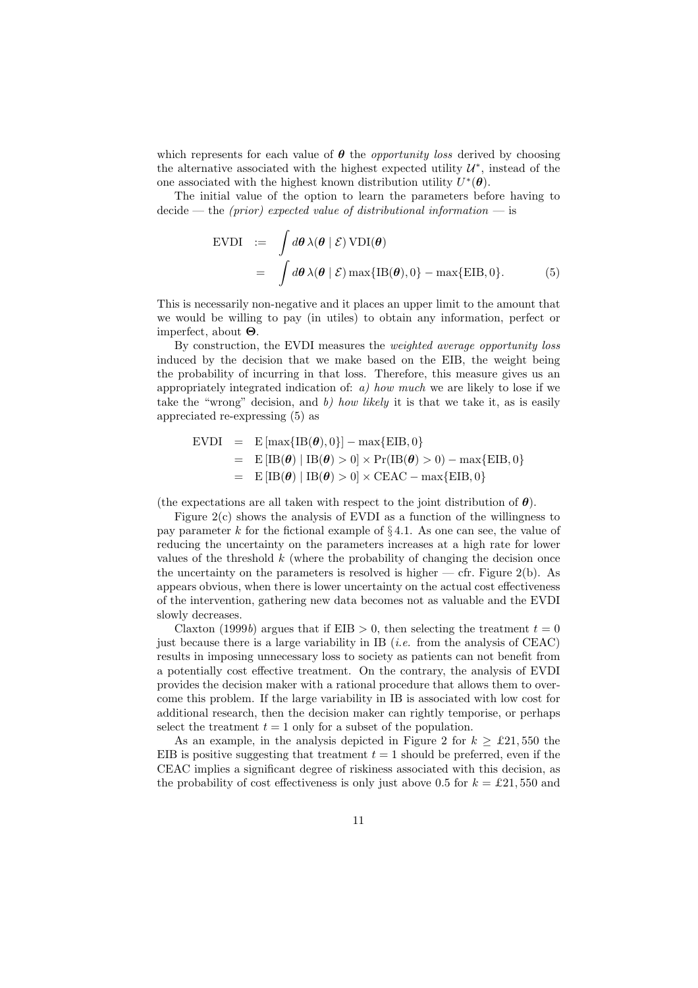which represents for each value of  $\theta$  the *opportunity loss* derived by choosing the alternative associated with the highest expected utility  $\mathcal{U}^*$ , instead of the one associated with the highest known distribution utility  $U^*(\theta)$ .

The initial value of the option to learn the parameters before having to  $\text{decide} \longrightarrow \text{the (prior) expected value of distributional information} \longrightarrow \text{is}$ 

$$
\begin{array}{rcl}\n\text{EVDI} & := & \int d\theta \,\lambda(\theta \mid \mathcal{E}) \,\text{VDI}(\theta) \\
& = & \int d\theta \,\lambda(\theta \mid \mathcal{E}) \,\text{max}\{\text{IB}(\theta), 0\} - \text{max}\{\text{EIB}, 0\}.\n\end{array} \tag{5}
$$

This is necessarily non-negative and it places an upper limit to the amount that we would be willing to pay (in utiles) to obtain any information, perfect or imperfect, about Θ.

By construction, the EVDI measures the weighted average opportunity loss induced by the decision that we make based on the EIB, the weight being the probability of incurring in that loss. Therefore, this measure gives us an appropriately integrated indication of:  $a)$  how much we are likely to lose if we take the "wrong" decision, and  $b$ ) how likely it is that we take it, as is easily appreciated re-expressing (5) as

$$
\begin{array}{rcl}\n\text{EVDI} & = & \text{E} \left[ \max \{ \text{IB}(\boldsymbol{\theta}), 0 \} \right] - \max \{ \text{EIB}, 0 \} \\
& = & \text{E} \left[ \text{IB}(\boldsymbol{\theta}) \mid \text{IB}(\boldsymbol{\theta}) > 0 \right] \times \text{Pr}(\text{IB}(\boldsymbol{\theta}) > 0) - \max \{ \text{EIB}, 0 \} \\
& = & \text{E} \left[ \text{IB}(\boldsymbol{\theta}) \mid \text{IB}(\boldsymbol{\theta}) > 0 \right] \times \text{CEAC} - \max \{ \text{EIB}, 0 \}\n\end{array}
$$

(the expectations are all taken with respect to the joint distribution of  $\theta$ ).

Figure 2(c) shows the analysis of EVDI as a function of the willingness to pay parameter k for the fictional example of  $\S 4.1$ . As one can see, the value of reducing the uncertainty on the parameters increases at a high rate for lower values of the threshold  $k$  (where the probability of changing the decision once the uncertainty on the parameters is resolved is higher  $-$  cfr. Figure 2(b). As appears obvious, when there is lower uncertainty on the actual cost effectiveness of the intervention, gathering new data becomes not as valuable and the EVDI slowly decreases.

Claxton (1999b) argues that if EIB  $> 0$ , then selecting the treatment  $t = 0$ just because there is a large variability in IB (*i.e.* from the analysis of  $CEAC$ ) results in imposing unnecessary loss to society as patients can not benefit from a potentially cost effective treatment. On the contrary, the analysis of EVDI provides the decision maker with a rational procedure that allows them to overcome this problem. If the large variability in IB is associated with low cost for additional research, then the decision maker can rightly temporise, or perhaps select the treatment  $t = 1$  only for a subset of the population.

As an example, in the analysis depicted in Figure 2 for  $k \geq \pounds 21,550$  the EIB is positive suggesting that treatment  $t = 1$  should be preferred, even if the CEAC implies a significant degree of riskiness associated with this decision, as the probability of cost effectiveness is only just above 0.5 for  $k = \pounds 21,550$  and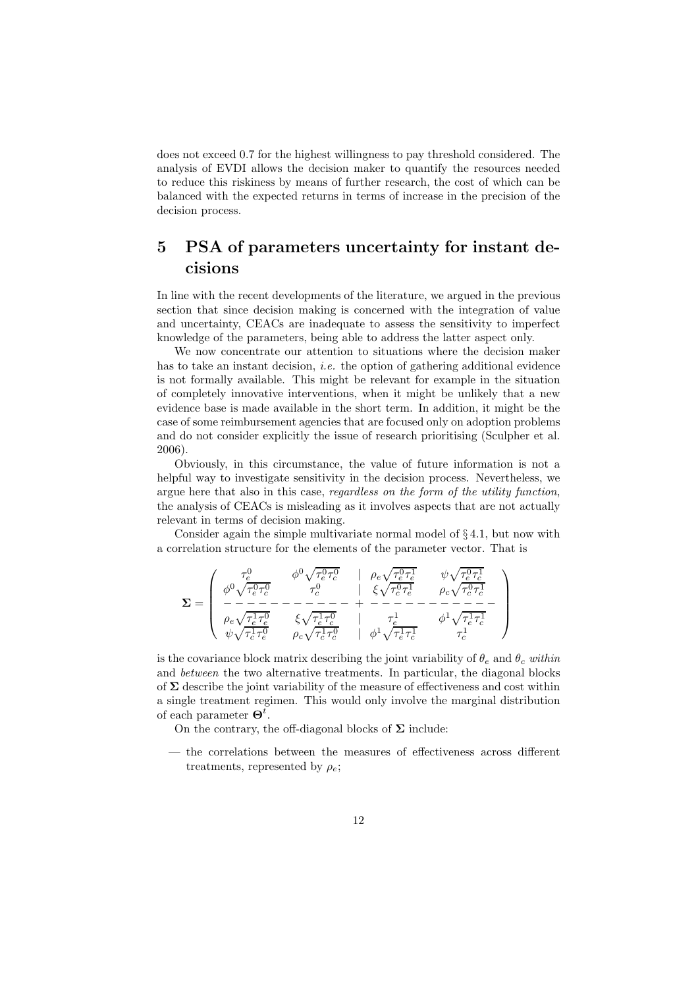does not exceed 0.7 for the highest willingness to pay threshold considered. The analysis of EVDI allows the decision maker to quantify the resources needed to reduce this riskiness by means of further research, the cost of which can be balanced with the expected returns in terms of increase in the precision of the decision process.

# 5 PSA of parameters uncertainty for instant decisions

In line with the recent developments of the literature, we argued in the previous section that since decision making is concerned with the integration of value and uncertainty, CEACs are inadequate to assess the sensitivity to imperfect knowledge of the parameters, being able to address the latter aspect only.

We now concentrate our attention to situations where the decision maker has to take an instant decision, *i.e.* the option of gathering additional evidence is not formally available. This might be relevant for example in the situation of completely innovative interventions, when it might be unlikely that a new evidence base is made available in the short term. In addition, it might be the case of some reimbursement agencies that are focused only on adoption problems and do not consider explicitly the issue of research prioritising (Sculpher et al. 2006).

Obviously, in this circumstance, the value of future information is not a helpful way to investigate sensitivity in the decision process. Nevertheless, we argue here that also in this case, regardless on the form of the utility function, the analysis of CEACs is misleading as it involves aspects that are not actually relevant in terms of decision making.

Consider again the simple multivariate normal model of § 4.1, but now with a correlation structure for the elements of the parameter vector. That is

$$
\Sigma = \left(\begin{array}{cccc} \tau_e^0 & \phi^0 \sqrt{\tau_e^0 \tau_c^0} & \rho_e \sqrt{\tau_e^0 \tau_e^1} & \psi \sqrt{\tau_e^0 \tau_c^1} \\ \phi^0 \sqrt{\tau_e^0 \tau_c^0} & \tau_c^0 & \xi \sqrt{\tau_c^0 \tau_e^1} & \rho_c \sqrt{\tau_c^0 \tau_c^1} \\ - - - - - - - - - - - - + - - - - - - - - - - - - - - \\ \rho_e \sqrt{\tau_e^1 \tau_e^0} & \xi \sqrt{\tau_e^1 \tau_c^0} & \tau_e^1 & \phi^1 \sqrt{\tau_e^1 \tau_c^1} \\ \psi \sqrt{\tau_c^1 \tau_e^0} & \rho_c \sqrt{\tau_c^1 \tau_c^0} & \phi^1 \sqrt{\tau_e^1 \tau_c^1} & \tau_c^1 \end{array}\right)
$$

is the covariance block matrix describing the joint variability of  $\theta_e$  and  $\theta_c$  within and between the two alternative treatments. In particular, the diagonal blocks of  $\Sigma$  describe the joint variability of the measure of effectiveness and cost within a single treatment regimen. This would only involve the marginal distribution of each parameter  $\mathbf{\Theta}^t$ .

On the contrary, the off-diagonal blocks of  $\Sigma$  include:

— the correlations between the measures of effectiveness across different treatments, represented by  $\rho_e$ ;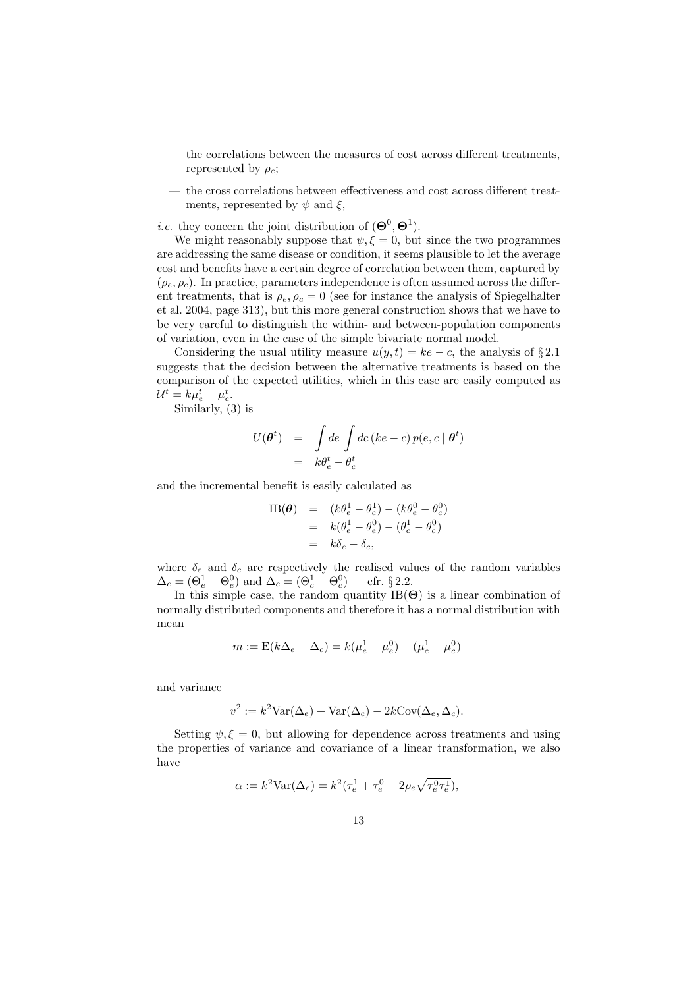- the correlations between the measures of cost across different treatments, represented by  $\rho_c$ ;
- the cross correlations between effectiveness and cost across different treatments, represented by  $\psi$  and  $\xi$ ,

*i.e.* they concern the joint distribution of  $(\mathbf{\Theta}^0, \mathbf{\Theta}^1)$ .

We might reasonably suppose that  $\psi, \xi = 0$ , but since the two programmes are addressing the same disease or condition, it seems plausible to let the average cost and benefits have a certain degree of correlation between them, captured by  $(\rho_e, \rho_c)$ . In practice, parameters independence is often assumed across the different treatments, that is  $\rho_e$ ,  $\rho_c = 0$  (see for instance the analysis of Spiegelhalter et al. 2004, page 313), but this more general construction shows that we have to be very careful to distinguish the within- and between-population components of variation, even in the case of the simple bivariate normal model.

Considering the usual utility measure  $u(y, t) = ke - c$ , the analysis of §2.1 suggests that the decision between the alternative treatments is based on the comparison of the expected utilities, which in this case are easily computed as  $\mathcal{U}^t = k\mu_e^t - \mu_c^t.$ 

Similarly, (3) is

$$
U(\boldsymbol{\theta}^t) = \int de \int dc \left( ke - c \right) p(e, c \mid \boldsymbol{\theta}^t)
$$
  
=  $k\theta_e^t - \theta_c^t$ 

and the incremental benefit is easily calculated as

IB(
$$
\theta
$$
) =  $(k\theta_e^1 - \theta_c^1) - (k\theta_e^0 - \theta_c^0)$   
 =  $k(\theta_e^1 - \theta_e^0) - (\theta_c^1 - \theta_c^0)$   
 =  $k\delta_e - \delta_c$ ,

where  $\delta_e$  and  $\delta_c$  are respectively the realised values of the random variables  $\Delta_e = (\Theta_e^1 - \Theta_e^0)$  and  $\Delta_c = (\Theta_c^1 - \Theta_c^0)$  — cfr. § 2.2.

In this simple case, the random quantity  $IB(\Theta)$  is a linear combination of normally distributed components and therefore it has a normal distribution with mean

$$
m := \mathcal{E}(k\Delta_e - \Delta_c) = k(\mu_e^1 - \mu_e^0) - (\mu_c^1 - \mu_c^0)
$$

and variance

$$
v^{2} := k^{2} \text{Var}(\Delta_{e}) + \text{Var}(\Delta_{c}) - 2k \text{Cov}(\Delta_{e}, \Delta_{c}).
$$

Setting  $\psi, \xi = 0$ , but allowing for dependence across treatments and using the properties of variance and covariance of a linear transformation, we also have

$$
\alpha := k^2 \text{Var}(\Delta_e) = k^2 (\tau_e^1 + \tau_e^0 - 2\rho_e \sqrt{\tau_e^0 \tau_e^1}),
$$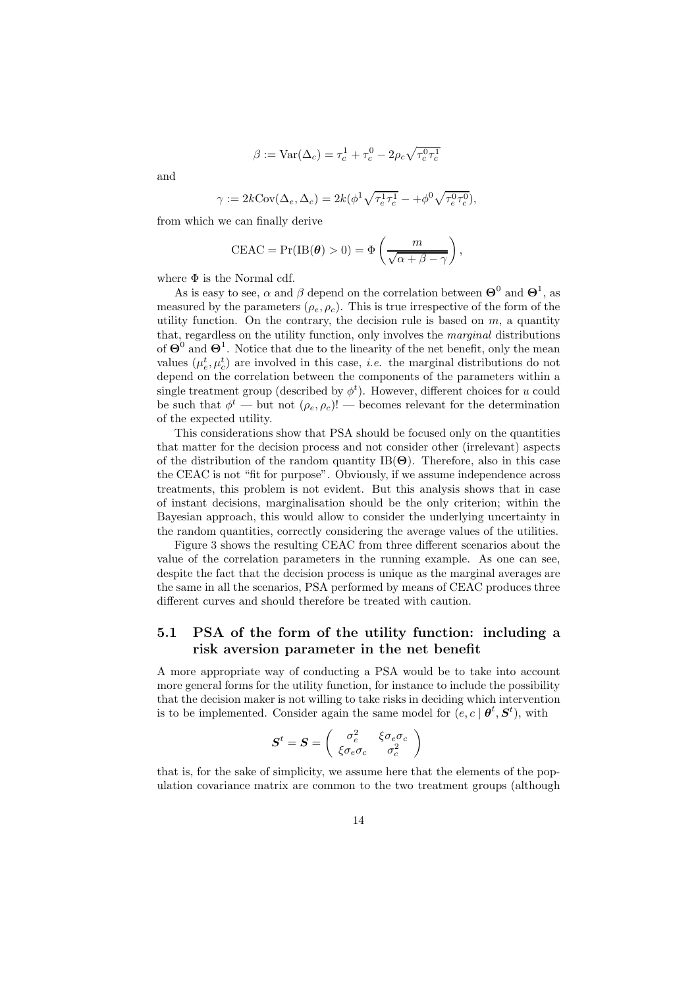$$
\beta := \text{Var}(\Delta_c) = \tau_c^1 + \tau_c^0 - 2\rho_c \sqrt{\tau_c^0 \tau_c^1}
$$

and

$$
\gamma := 2k \text{Cov}(\Delta_e, \Delta_c) = 2k(\phi^1 \sqrt{\tau_e^1 \tau_c^1} - \phi^0 \sqrt{\tau_e^0 \tau_c^0}),
$$

from which we can finally derive

$$
\text{CEAC} = \Pr(\text{IB}(\boldsymbol{\theta}) > 0) = \Phi\left(\frac{m}{\sqrt{\alpha + \beta - \gamma}}\right),
$$

where  $\Phi$  is the Normal cdf.

As is easy to see,  $\alpha$  and  $\beta$  depend on the correlation between  $\mathbf{\Theta}^0$  and  $\mathbf{\Theta}^1$ , as measured by the parameters  $(\rho_e, \rho_c)$ . This is true irrespective of the form of the utility function. On the contrary, the decision rule is based on  $m$ , a quantity that, regardless on the utility function, only involves the marginal distributions of  $\Theta^0$  and  $\Theta^1$ . Notice that due to the linearity of the net benefit, only the mean values  $(\mu_e^t, \mu_c^t)$  are involved in this case, *i.e.* the marginal distributions do not depend on the correlation between the components of the parameters within a single treatment group (described by  $\phi^t$ ). However, different choices for u could be such that  $\phi^t$  — but not  $(\rho_e, \rho_c)!$  — becomes relevant for the determination of the expected utility.

This considerations show that PSA should be focused only on the quantities that matter for the decision process and not consider other (irrelevant) aspects of the distribution of the random quantity  $IB(\Theta)$ . Therefore, also in this case the CEAC is not "fit for purpose". Obviously, if we assume independence across treatments, this problem is not evident. But this analysis shows that in case of instant decisions, marginalisation should be the only criterion; within the Bayesian approach, this would allow to consider the underlying uncertainty in the random quantities, correctly considering the average values of the utilities.

Figure 3 shows the resulting CEAC from three different scenarios about the value of the correlation parameters in the running example. As one can see, despite the fact that the decision process is unique as the marginal averages are the same in all the scenarios, PSA performed by means of CEAC produces three different curves and should therefore be treated with caution.

### 5.1 PSA of the form of the utility function: including a risk aversion parameter in the net benefit

A more appropriate way of conducting a PSA would be to take into account more general forms for the utility function, for instance to include the possibility that the decision maker is not willing to take risks in deciding which intervention is to be implemented. Consider again the same model for  $(e, c | \theta^t, S^t)$ , with

$$
\boldsymbol{S}^t = \boldsymbol{S} = \left( \begin{array}{cc} \sigma_e^2 & \xi \sigma_e \sigma_c \\ \xi \sigma_e \sigma_c & \sigma_c^2 \end{array} \right)
$$

that is, for the sake of simplicity, we assume here that the elements of the population covariance matrix are common to the two treatment groups (although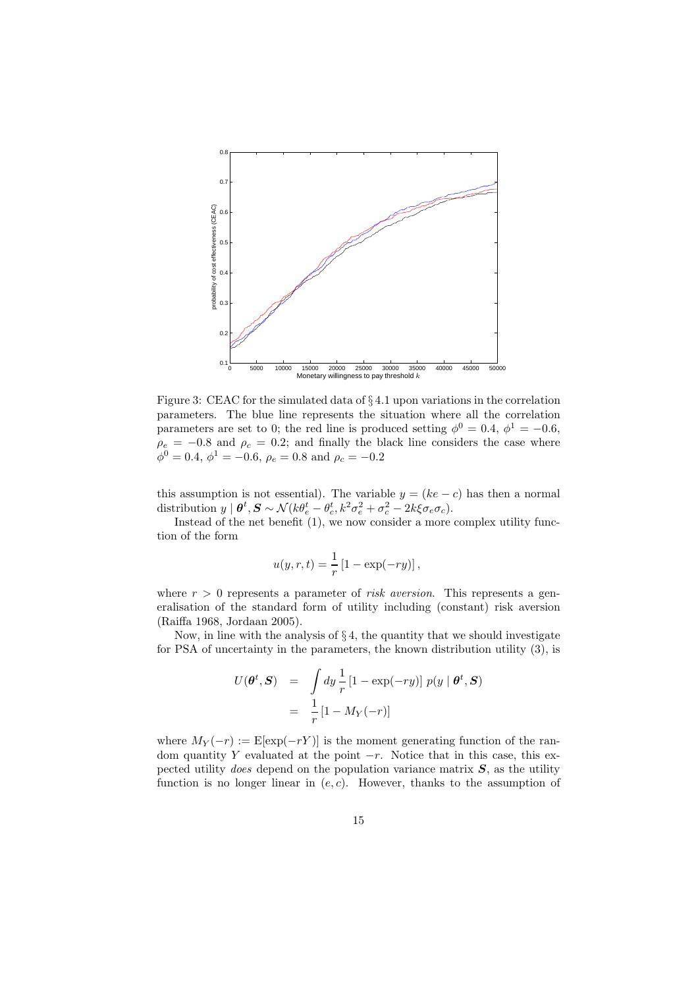

Figure 3: CEAC for the simulated data of § 4.1 upon variations in the correlation parameters. The blue line represents the situation where all the correlation parameters are set to 0; the red line is produced setting  $\phi^0 = 0.4$ ,  $\phi^1 = -0.6$ ,  $\rho_e = -0.8$  and  $\rho_c = 0.2$ ; and finally the black line considers the case where  $\phi^0 = 0.4, \, \phi^1 = -0.6, \, \rho_e = 0.8 \text{ and } \rho_c = -0.2$ 

this assumption is not essential). The variable  $y = (ke - c)$  has then a normal distribution  $y \mid \boldsymbol{\theta}^t, \mathbf{S} \sim \mathcal{N}(k \theta_e^t - \theta_c^t, k^2 \sigma_e^2 + \sigma_c^2 - 2k \xi \sigma_e \sigma_c).$ 

Instead of the net benefit (1), we now consider a more complex utility function of the form

$$
u(y,r,t) = \frac{1}{r} \left[1 - \exp(-ry)\right],
$$

where  $r > 0$  represents a parameter of *risk aversion*. This represents a generalisation of the standard form of utility including (constant) risk aversion (Raiffa 1968, Jordaan 2005).

Now, in line with the analysis of  $\S 4$ , the quantity that we should investigate for PSA of uncertainty in the parameters, the known distribution utility (3), is

$$
U(\boldsymbol{\theta}^t, \mathbf{S}) = \int dy \frac{1}{r} \left[1 - \exp(-ry)\right] p(y | \boldsymbol{\theta}^t, \mathbf{S})
$$

$$
= \frac{1}{r} \left[1 - M_Y(-r)\right]
$$

where  $M_Y(-r) := \mathbb{E}[\exp(-rY)]$  is the moment generating function of the random quantity Y evaluated at the point  $-r$ . Notice that in this case, this expected utility *does* depend on the population variance matrix  $S$ , as the utility function is no longer linear in  $(e, c)$ . However, thanks to the assumption of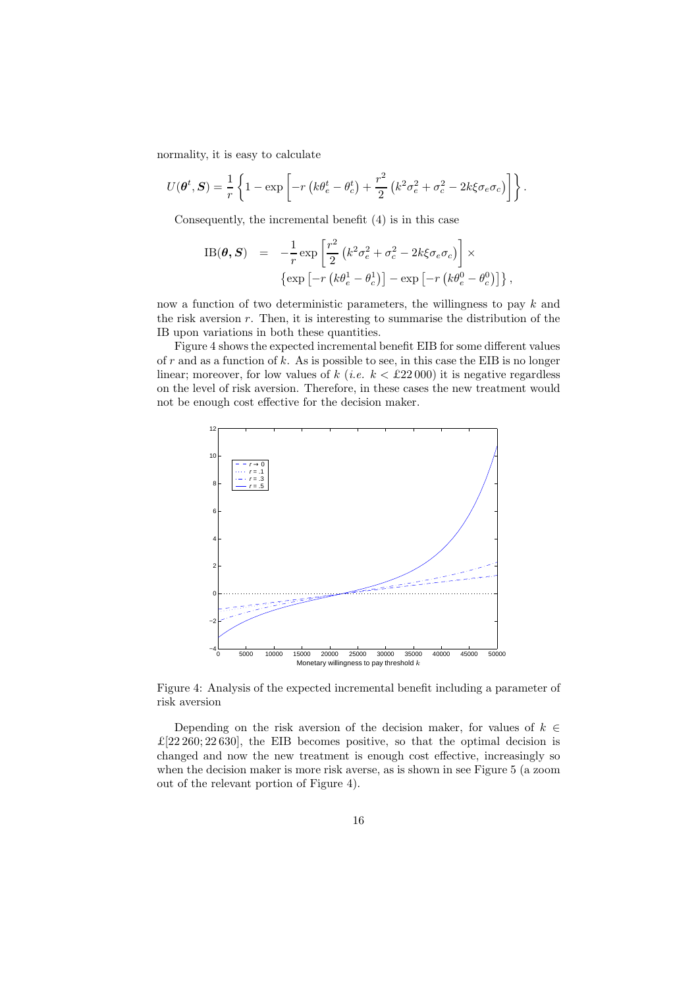normality, it is easy to calculate

$$
U(\boldsymbol{\theta}^t, \mathbf{S}) = \frac{1}{r} \left\{ 1 - \exp \left[ -r \left( k \theta_e^t - \theta_c^t \right) + \frac{r^2}{2} \left( k^2 \sigma_e^2 + \sigma_c^2 - 2k \xi \sigma_e \sigma_c \right) \right] \right\}.
$$

Consequently, the incremental benefit (4) is in this case

IB(
$$
\theta
$$
,  $S$ ) =  $-\frac{1}{r} \exp \left[\frac{r^2}{2} \left(k^2 \sigma_e^2 + \sigma_c^2 - 2k\xi\sigma_e\sigma_c\right)\right] \times$   
\n
$$
\left\{ \exp \left[-r \left(k\theta_e^1 - \theta_c^1\right)\right] - \exp \left[-r \left(k\theta_e^0 - \theta_c^0\right)\right] \right\},
$$

now a function of two deterministic parameters, the willingness to pay  $k$  and the risk aversion  $r$ . Then, it is interesting to summarise the distribution of the IB upon variations in both these quantities.

Figure 4 shows the expected incremental benefit EIB for some different values of  $r$  and as a function of  $k$ . As is possible to see, in this case the EIB is no longer linear; moreover, for low values of k (*i.e.*  $k < \pounds22000$ ) it is negative regardless on the level of risk aversion. Therefore, in these cases the new treatment would not be enough cost effective for the decision maker.



Figure 4: Analysis of the expected incremental benefit including a parameter of risk aversion

Depending on the risk aversion of the decision maker, for values of  $k \in \mathbb{R}$  $\pounds$ [22 260; 22 630], the EIB becomes positive, so that the optimal decision is changed and now the new treatment is enough cost effective, increasingly so when the decision maker is more risk averse, as is shown in see Figure 5 (a zoom out of the relevant portion of Figure 4).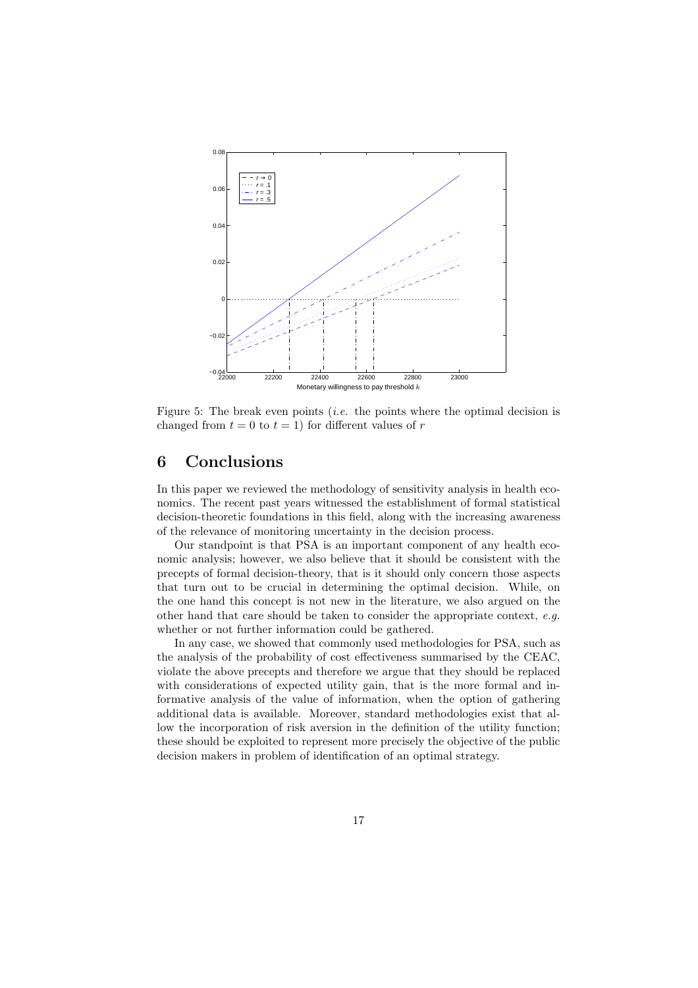

Figure 5: The break even points (*i.e.* the points where the optimal decision is changed from  $t = 0$  to  $t = 1$ ) for different values of r

# 6 Conclusions

In this paper we reviewed the methodology of sensitivity analysis in health economics. The recent past years witnessed the establishment of formal statistical decision-theoretic foundations in this field, along with the increasing awareness of the relevance of monitoring uncertainty in the decision process.

Our standpoint is that PSA is an important component of any health economic analysis; however, we also believe that it should be consistent with the precepts of formal decision-theory, that is it should only concern those aspects that turn out to be crucial in determining the optimal decision. While, on the one hand this concept is not new in the literature, we also argued on the other hand that care should be taken to consider the appropriate context, e.g. whether or not further information could be gathered.

In any case, we showed that commonly used methodologies for PSA, such as the analysis of the probability of cost effectiveness summarised by the CEAC, violate the above precepts and therefore we argue that they should be replaced with considerations of expected utility gain, that is the more formal and informative analysis of the value of information, when the option of gathering additional data is available. Moreover, standard methodologies exist that allow the incorporation of risk aversion in the definition of the utility function; these should be exploited to represent more precisely the objective of the public decision makers in problem of identification of an optimal strategy.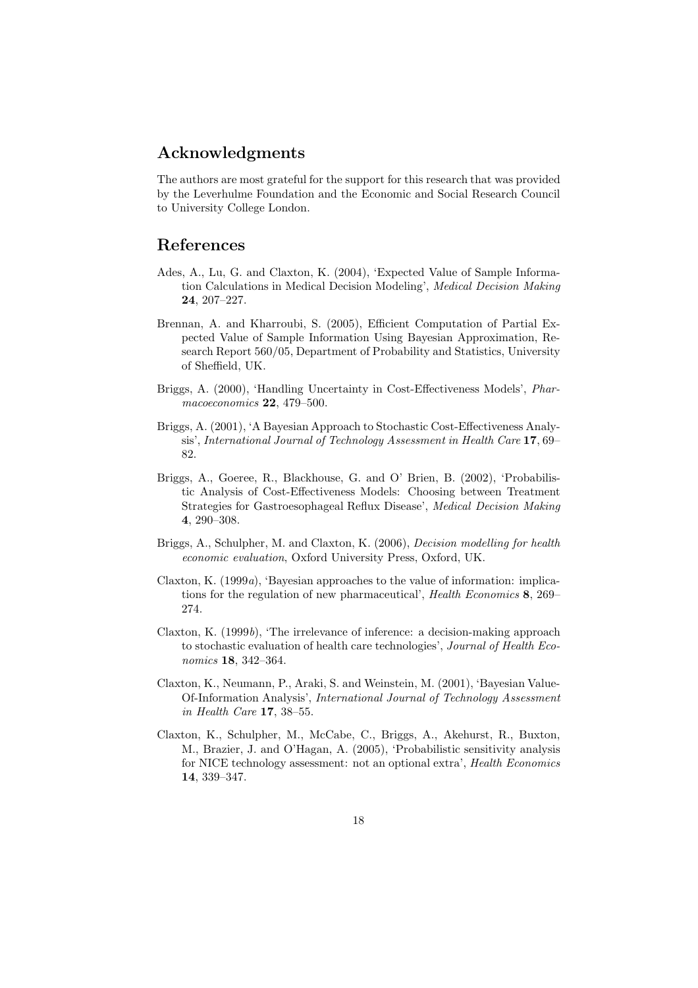## Acknowledgments

The authors are most grateful for the support for this research that was provided by the Leverhulme Foundation and the Economic and Social Research Council to University College London.

## References

- Ades, A., Lu, G. and Claxton, K. (2004), 'Expected Value of Sample Information Calculations in Medical Decision Modeling', Medical Decision Making 24, 207–227.
- Brennan, A. and Kharroubi, S. (2005), Efficient Computation of Partial Expected Value of Sample Information Using Bayesian Approximation, Research Report 560/05, Department of Probability and Statistics, University of Sheffield, UK.
- Briggs, A. (2000), 'Handling Uncertainty in Cost-Effectiveness Models', Pharmacoeconomics 22, 479–500.
- Briggs, A. (2001), 'A Bayesian Approach to Stochastic Cost-Effectiveness Analysis', International Journal of Technology Assessment in Health Care 17, 69– 82.
- Briggs, A., Goeree, R., Blackhouse, G. and O' Brien, B. (2002), 'Probabilistic Analysis of Cost-Effectiveness Models: Choosing between Treatment Strategies for Gastroesophageal Reflux Disease', Medical Decision Making 4, 290–308.
- Briggs, A., Schulpher, M. and Claxton, K. (2006), Decision modelling for health economic evaluation, Oxford University Press, Oxford, UK.
- Claxton, K. (1999a), 'Bayesian approaches to the value of information: implications for the regulation of new pharmaceutical', Health Economics 8, 269– 274.
- Claxton, K.  $(1999b)$ , 'The irrelevance of inference: a decision-making approach to stochastic evaluation of health care technologies', Journal of Health Economics 18, 342–364.
- Claxton, K., Neumann, P., Araki, S. and Weinstein, M. (2001), 'Bayesian Value-Of-Information Analysis', International Journal of Technology Assessment in Health Care 17, 38–55.
- Claxton, K., Schulpher, M., McCabe, C., Briggs, A., Akehurst, R., Buxton, M., Brazier, J. and O'Hagan, A. (2005), 'Probabilistic sensitivity analysis for NICE technology assessment: not an optional extra', Health Economics 14, 339–347.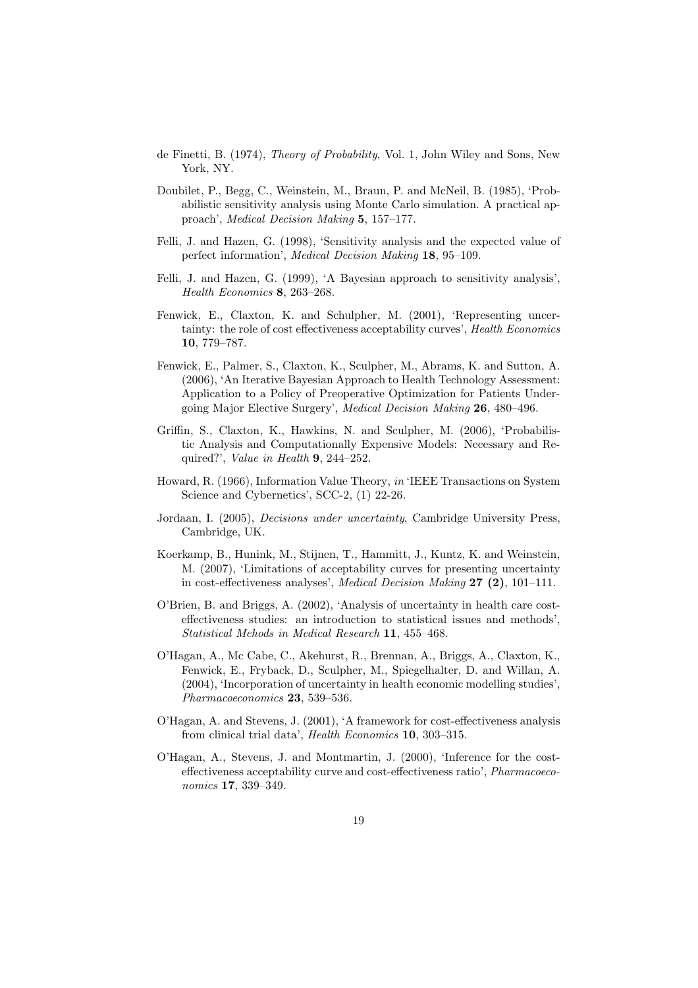- de Finetti, B. (1974), Theory of Probability, Vol. 1, John Wiley and Sons, New York, NY.
- Doubilet, P., Begg, C., Weinstein, M., Braun, P. and McNeil, B. (1985), 'Probabilistic sensitivity analysis using Monte Carlo simulation. A practical approach', Medical Decision Making 5, 157–177.
- Felli, J. and Hazen, G. (1998), 'Sensitivity analysis and the expected value of perfect information', Medical Decision Making 18, 95–109.
- Felli, J. and Hazen, G. (1999), 'A Bayesian approach to sensitivity analysis', Health Economics 8, 263–268.
- Fenwick, E., Claxton, K. and Schulpher, M. (2001), 'Representing uncertainty: the role of cost effectiveness acceptability curves', Health Economics 10, 779–787.
- Fenwick, E., Palmer, S., Claxton, K., Sculpher, M., Abrams, K. and Sutton, A. (2006), 'An Iterative Bayesian Approach to Health Technology Assessment: Application to a Policy of Preoperative Optimization for Patients Undergoing Major Elective Surgery', Medical Decision Making 26, 480–496.
- Griffin, S., Claxton, K., Hawkins, N. and Sculpher, M. (2006), 'Probabilistic Analysis and Computationally Expensive Models: Necessary and Required?', Value in Health 9, 244–252.
- Howard, R. (1966), Information Value Theory, in 'IEEE Transactions on System Science and Cybernetics', SCC-2,  $(1)$  22-26.
- Jordaan, I. (2005), Decisions under uncertainty, Cambridge University Press, Cambridge, UK.
- Koerkamp, B., Hunink, M., Stijnen, T., Hammitt, J., Kuntz, K. and Weinstein, M. (2007), 'Limitations of acceptability curves for presenting uncertainty in cost-effectiveness analyses', Medical Decision Making 27 (2), 101–111.
- O'Brien, B. and Briggs, A. (2002), 'Analysis of uncertainty in health care costeffectiveness studies: an introduction to statistical issues and methods', Statistical Mehods in Medical Research 11, 455–468.
- O'Hagan, A., Mc Cabe, C., Akehurst, R., Brennan, A., Briggs, A., Claxton, K., Fenwick, E., Fryback, D., Sculpher, M., Spiegelhalter, D. and Willan, A. (2004), 'Incorporation of uncertainty in health economic modelling studies', Pharmacoeconomics 23, 539–536.
- O'Hagan, A. and Stevens, J. (2001), 'A framework for cost-effectiveness analysis from clinical trial data', Health Economics 10, 303–315.
- O'Hagan, A., Stevens, J. and Montmartin, J. (2000), 'Inference for the costeffectiveness acceptability curve and cost-effectiveness ratio', Pharmacoeconomics 17, 339–349.